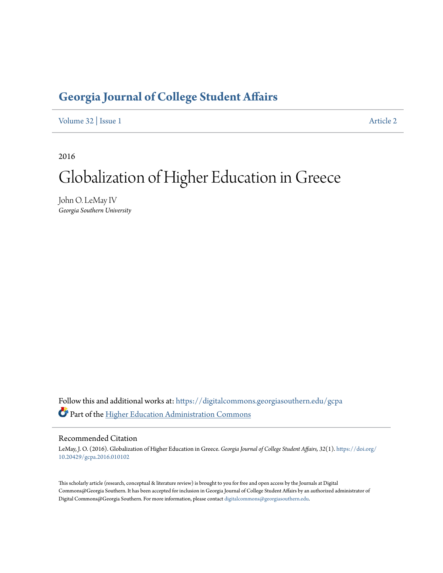# **[Georgia Journal of College Student Affairs](https://digitalcommons.georgiasouthern.edu/gcpa?utm_source=digitalcommons.georgiasouthern.edu%2Fgcpa%2Fvol32%2Fiss1%2F2&utm_medium=PDF&utm_campaign=PDFCoverPages)**

[Volume 32](https://digitalcommons.georgiasouthern.edu/gcpa/vol32?utm_source=digitalcommons.georgiasouthern.edu%2Fgcpa%2Fvol32%2Fiss1%2F2&utm_medium=PDF&utm_campaign=PDFCoverPages) | [Issue 1](https://digitalcommons.georgiasouthern.edu/gcpa/vol32/iss1?utm_source=digitalcommons.georgiasouthern.edu%2Fgcpa%2Fvol32%2Fiss1%2F2&utm_medium=PDF&utm_campaign=PDFCoverPages) [Article 2](https://digitalcommons.georgiasouthern.edu/gcpa/vol32/iss1/2?utm_source=digitalcommons.georgiasouthern.edu%2Fgcpa%2Fvol32%2Fiss1%2F2&utm_medium=PDF&utm_campaign=PDFCoverPages)

2016

# Globalization of Higher Education in Greece

John O. LeMay IV *Georgia Southern University*

Follow this and additional works at: [https://digitalcommons.georgiasouthern.edu/gcpa](https://digitalcommons.georgiasouthern.edu/gcpa?utm_source=digitalcommons.georgiasouthern.edu%2Fgcpa%2Fvol32%2Fiss1%2F2&utm_medium=PDF&utm_campaign=PDFCoverPages) Part of the [Higher Education Administration Commons](http://network.bepress.com/hgg/discipline/791?utm_source=digitalcommons.georgiasouthern.edu%2Fgcpa%2Fvol32%2Fiss1%2F2&utm_medium=PDF&utm_campaign=PDFCoverPages)

#### Recommended Citation

LeMay, J. O. (2016). Globalization of Higher Education in Greece. *Georgia Journal of College Student Affairs, 32*(1). [https://doi.org/](https://doi.org/10.20429/gcpa.2016.010102) [10.20429/gcpa.2016.010102](https://doi.org/10.20429/gcpa.2016.010102)

This scholarly article (research, conceptual & literature review) is brought to you for free and open access by the Journals at Digital Commons@Georgia Southern. It has been accepted for inclusion in Georgia Journal of College Student Affairs by an authorized administrator of Digital Commons@Georgia Southern. For more information, please contact [digitalcommons@georgiasouthern.edu.](mailto:digitalcommons@georgiasouthern.edu)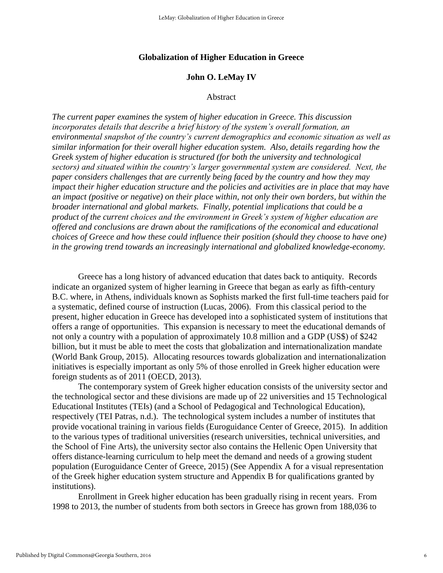#### **Globalization of Higher Education in Greece**

#### **John O. LeMay IV**

#### Abstract

*The current paper examines the system of higher education in Greece. This discussion incorporates details that describe a brief history of the system's overall formation, an environmental snapshot of the country's current demographics and economic situation as well as similar information for their overall higher education system. Also, details regarding how the Greek system of higher education is structured (for both the university and technological sectors) and situated within the country's larger governmental system are considered. Next, the paper considers challenges that are currently being faced by the country and how they may impact their higher education structure and the policies and activities are in place that may have an impact (positive or negative) on their place within, not only their own borders, but within the broader international and global markets. Finally, potential implications that could be a product of the current choices and the environment in Greek's system of higher education are offered and conclusions are drawn about the ramifications of the economical and educational choices of Greece and how these could influence their position (should they choose to have one) in the growing trend towards an increasingly international and globalized knowledge-economy.* 

Greece has a long history of advanced education that dates back to antiquity. Records indicate an organized system of higher learning in Greece that began as early as fifth-century B.C. where, in Athens, individuals known as Sophists marked the first full-time teachers paid for a systematic, defined course of instruction (Lucas, 2006). From this classical period to the present, higher education in Greece has developed into a sophisticated system of institutions that offers a range of opportunities. This expansion is necessary to meet the educational demands of not only a country with a population of approximately 10.8 million and a GDP (US\$) of \$242 billion, but it must be able to meet the costs that globalization and internationalization mandate (World Bank Group, 2015). Allocating resources towards globalization and internationalization initiatives is especially important as only 5% of those enrolled in Greek higher education were foreign students as of 2011 (OECD, 2013).

The contemporary system of Greek higher education consists of the university sector and the technological sector and these divisions are made up of 22 universities and 15 Technological Educational Institutes (TEIs) (and a School of Pedagogical and Technological Education), respectively (TEI Patras, n.d.). The technological system includes a number of institutes that provide vocational training in various fields (Euroguidance Center of Greece, 2015). In addition to the various types of traditional universities (research universities, technical universities, and the School of Fine Arts), the university sector also contains the Hellenic Open University that offers distance-learning curriculum to help meet the demand and needs of a growing student population (Euroguidance Center of Greece, 2015) (See Appendix A for a visual representation of the Greek higher education system structure and Appendix B for qualifications granted by institutions).

Enrollment in Greek higher education has been gradually rising in recent years. From 1998 to 2013, the number of students from both sectors in Greece has grown from 188,036 to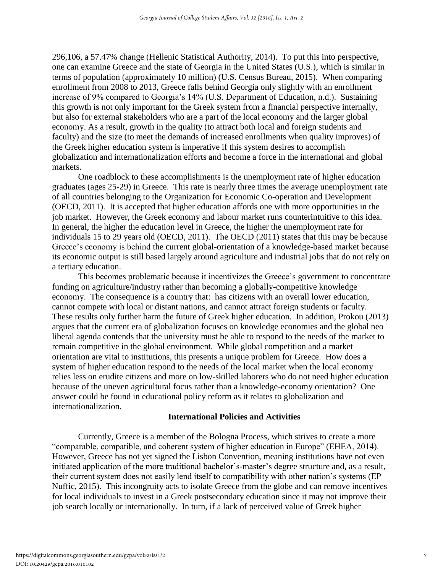296,106, a 57.47% change (Hellenic Statistical Authority, 2014). To put this into perspective, one can examine Greece and the state of Georgia in the United States (U.S.), which is similar in terms of population (approximately 10 million) (U.S. Census Bureau, 2015). When comparing enrollment from 2008 to 2013, Greece falls behind Georgia only slightly with an enrollment increase of 9% compared to Georgia's 14% (U.S. Department of Education, n.d.). Sustaining this growth is not only important for the Greek system from a financial perspective internally, but also for external stakeholders who are a part of the local economy and the larger global economy. As a result, growth in the quality (to attract both local and foreign students and faculty) and the size (to meet the demands of increased enrollments when quality improves) of the Greek higher education system is imperative if this system desires to accomplish globalization and internationalization efforts and become a force in the international and global markets.

One roadblock to these accomplishments is the unemployment rate of higher education graduates (ages 25-29) in Greece. This rate is nearly three times the average unemployment rate of all countries belonging to the Organization for Economic Co-operation and Development (OECD, 2011). It is accepted that higher education affords one with more opportunities in the job market. However, the Greek economy and labour market runs counterintuitive to this idea. In general, the higher the education level in Greece, the higher the unemployment rate for individuals 15 to 29 years old (OECD, 2011). The OECD (2011) states that this may be because Greece's economy is behind the current global-orientation of a knowledge-based market because its economic output is still based largely around agriculture and industrial jobs that do not rely on a tertiary education.

This becomes problematic because it incentivizes the Greece's government to concentrate funding on agriculture/industry rather than becoming a globally-competitive knowledge economy. The consequence is a country that: has citizens with an overall lower education, cannot compete with local or distant nations, and cannot attract foreign students or faculty. These results only further harm the future of Greek higher education. In addition, Prokou (2013) argues that the current era of globalization focuses on knowledge economies and the global neo liberal agenda contends that the university must be able to respond to the needs of the market to remain competitive in the global environment. While global competition and a market orientation are vital to institutions, this presents a unique problem for Greece. How does a system of higher education respond to the needs of the local market when the local economy relies less on erudite citizens and more on low-skilled laborers who do not need higher education because of the uneven agricultural focus rather than a knowledge-economy orientation? One answer could be found in educational policy reform as it relates to globalization and internationalization.

#### **International Policies and Activities**

Currently, Greece is a member of the Bologna Process, which strives to create a more "comparable, compatible, and coherent system of higher education in Europe" (EHEA, 2014). However, Greece has not yet signed the Lisbon Convention, meaning institutions have not even initiated application of the more traditional bachelor's-master's degree structure and, as a result, their current system does not easily lend itself to compatibility with other nation's systems (EP Nuffic, 2015). This incongruity acts to isolate Greece from the globe and can remove incentives for local individuals to invest in a Greek postsecondary education since it may not improve their job search locally or internationally. In turn, if a lack of perceived value of Greek higher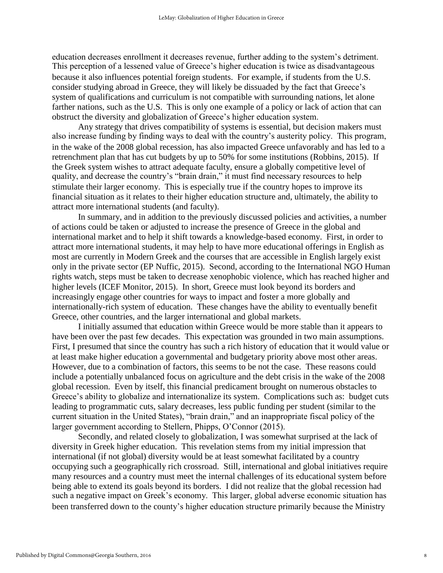education decreases enrollment it decreases revenue, further adding to the system's detriment. This perception of a lessened value of Greece's higher education is twice as disadvantageous because it also influences potential foreign students. For example, if students from the U.S. consider studying abroad in Greece, they will likely be dissuaded by the fact that Greece's system of qualifications and curriculum is not compatible with surrounding nations, let alone farther nations, such as the U.S. This is only one example of a policy or lack of action that can obstruct the diversity and globalization of Greece's higher education system.

Any strategy that drives compatibility of systems is essential, but decision makers must also increase funding by finding ways to deal with the country's austerity policy. This program, in the wake of the 2008 global recession, has also impacted Greece unfavorably and has led to a retrenchment plan that has cut budgets by up to 50% for some institutions (Robbins, 2015). If the Greek system wishes to attract adequate faculty, ensure a globally competitive level of quality, and decrease the country's "brain drain," it must find necessary resources to help stimulate their larger economy. This is especially true if the country hopes to improve its financial situation as it relates to their higher education structure and, ultimately, the ability to attract more international students (and faculty).

In summary, and in addition to the previously discussed policies and activities, a number of actions could be taken or adjusted to increase the presence of Greece in the global and international market and to help it shift towards a knowledge-based economy. First, in order to attract more international students, it may help to have more educational offerings in English as most are currently in Modern Greek and the courses that are accessible in English largely exist only in the private sector (EP Nuffic, 2015). Second, according to the International NGO Human rights watch, steps must be taken to decrease xenophobic violence, which has reached higher and higher levels (ICEF Monitor, 2015). In short, Greece must look beyond its borders and increasingly engage other countries for ways to impact and foster a more globally and internationally-rich system of education. These changes have the ability to eventually benefit Greece, other countries, and the larger international and global markets.

I initially assumed that education within Greece would be more stable than it appears to have been over the past few decades. This expectation was grounded in two main assumptions. First, I presumed that since the country has such a rich history of education that it would value or at least make higher education a governmental and budgetary priority above most other areas. However, due to a combination of factors, this seems to be not the case. These reasons could include a potentially unbalanced focus on agriculture and the debt crisis in the wake of the 2008 global recession. Even by itself, this financial predicament brought on numerous obstacles to Greece's ability to globalize and internationalize its system. Complications such as: budget cuts leading to programmatic cuts, salary decreases, less public funding per student (similar to the current situation in the United States), "brain drain," and an inappropriate fiscal policy of the larger government according to Stellern, Phipps, O'Connor (2015).

Secondly, and related closely to globalization, I was somewhat surprised at the lack of diversity in Greek higher education. This revelation stems from my initial impression that international (if not global) diversity would be at least somewhat facilitated by a country occupying such a geographically rich crossroad. Still, international and global initiatives require many resources and a country must meet the internal challenges of its educational system before being able to extend its goals beyond its borders. I did not realize that the global recession had such a negative impact on Greek's economy. This larger, global adverse economic situation has been transferred down to the county's higher education structure primarily because the Ministry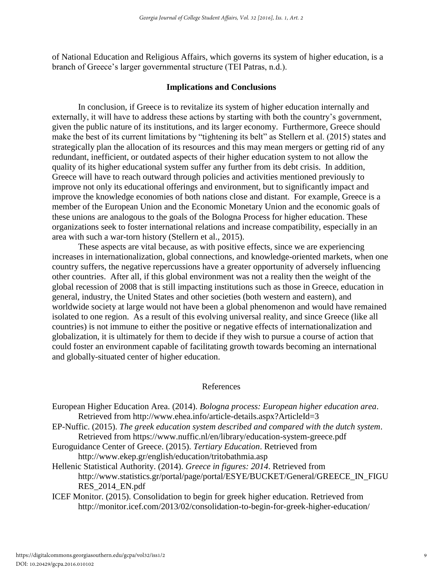of National Education and Religious Affairs, which governs its system of higher education, is a branch of Greece's larger governmental structure (TEI Patras, n.d.).

#### **Implications and Conclusions**

In conclusion, if Greece is to revitalize its system of higher education internally and externally, it will have to address these actions by starting with both the country's government, given the public nature of its institutions, and its larger economy. Furthermore, Greece should make the best of its current limitations by "tightening its belt" as Stellern et al. (2015) states and strategically plan the allocation of its resources and this may mean mergers or getting rid of any redundant, inefficient, or outdated aspects of their higher education system to not allow the quality of its higher educational system suffer any further from its debt crisis. In addition, Greece will have to reach outward through policies and activities mentioned previously to improve not only its educational offerings and environment, but to significantly impact and improve the knowledge economies of both nations close and distant. For example, Greece is a member of the European Union and the Economic Monetary Union and the economic goals of these unions are analogous to the goals of the Bologna Process for higher education. These organizations seek to foster international relations and increase compatibility, especially in an area with such a war-torn history (Stellern et al., 2015).

These aspects are vital because, as with positive effects, since we are experiencing increases in internationalization, global connections, and knowledge-oriented markets, when one country suffers, the negative repercussions have a greater opportunity of adversely influencing other countries. After all, if this global environment was not a reality then the weight of the global recession of 2008 that is still impacting institutions such as those in Greece, education in general, industry, the United States and other societies (both western and eastern), and worldwide society at large would not have been a global phenomenon and would have remained isolated to one region. As a result of this evolving universal reality, and since Greece (like all countries) is not immune to either the positive or negative effects of internationalization and globalization, it is ultimately for them to decide if they wish to pursue a course of action that could foster an environment capable of facilitating growth towards becoming an international and globally-situated center of higher education.

#### References

European Higher Education Area. (2014). *Bologna process: European higher education area*. Retrieved from http://www.ehea.info/article-details.aspx?ArticleId=3

- EP-Nuffic. (2015). *The greek education system described and compared with the dutch system*. Retrieved from https://www.nuffic.nl/en/library/education-system-greece.pdf
- Euroguidance Center of Greece. (2015). *Tertiary Education*. Retrieved from http://www.ekep.gr/english/education/tritobathmia.asp
- Hellenic Statistical Authority. (2014). *Greece in figures: 2014*. Retrieved from http://www.statistics.gr/portal/page/portal/ESYE/BUCKET/General/GREECE\_IN\_FIGU RES\_2014\_EN.pdf
- ICEF Monitor. (2015). Consolidation to begin for greek higher education. Retrieved from http://monitor.icef.com/2013/02/consolidation-to-begin-for-greek-higher-education/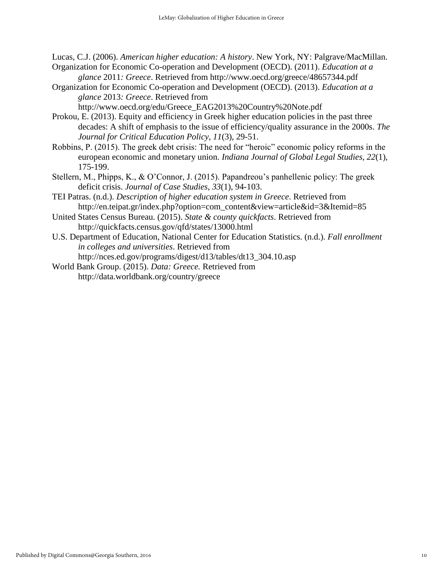Lucas, C.J. (2006). *American higher education: A history*. New York, NY: Palgrave/MacMillan.

- Organization for Economic Co-operation and Development (OECD). (2011). *Education at a glance* 2011*: Greece*. Retrieved from http://www.oecd.org/greece/48657344.pdf
- Organization for Economic Co-operation and Development (OECD). (2013). *Education at a glance* 2013*: Greece*. Retrieved from

http://www.oecd.org/edu/Greece\_EAG2013%20Country%20Note.pdf

- decades: A shift of emphasis to the issue of efficiency/quality assurance in the 2000s. *The Journal for Critical Education Policy, 11*(3), 29-51. Prokou, E. (2013). Equity and efficiency in Greek higher education policies in the past three
- Robbins, P. (2015). The greek debt crisis: The need for "heroic" economic policy reforms in the european economic and monetary union. *Indiana Journal of Global Legal Studies, 22*(1), 175-199.
- Stellern, M., Phipps, K., & O'Connor, J. (2015). Papandreou's panhellenic policy: The greek deficit crisis. *Journal of Case Studies*, *33*(1), 94-103.
- TEI Patras. (n.d.). *Description of higher education system in Greece*. Retrieved from http://en.teipat.gr/index.php?option=com\_content&view=article&id=3&Itemid=85
- United States Census Bureau. (2015). *State & county quickfacts*. Retrieved from http://quickfacts.census.gov/qfd/states/13000.html
- U.S. Department of Education, National Center for Education Statistics. (n.d.). *Fall enrollment in colleges and universities*. Retrieved from http://nces.ed.gov/programs/digest/d13/tables/dt13\_304.10.asp
- World Bank Group. (2015). *Data: Greece.* Retrieved from http://data.worldbank.org/country/greece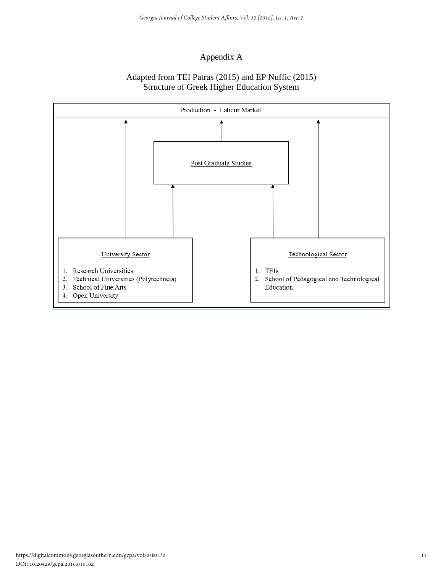## Appendix A

### Adapted from TEI Patras (2015) and EP Nuffic (2015) Structure of Greek Higher Education System

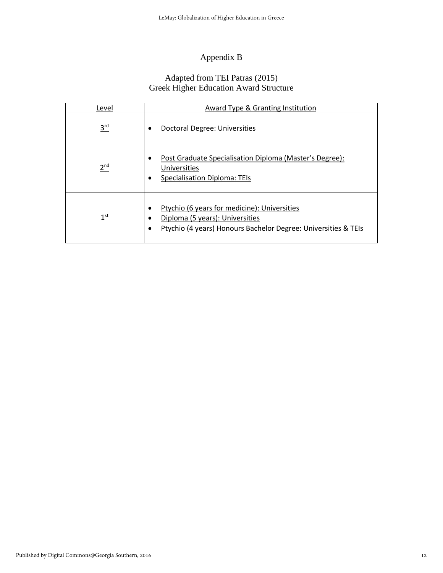# Appendix B

#### Adapted from TEI Patras (2015) Greek Higher Education Award Structure

| Level           | Award Type & Granting Institution                                                                                                                 |
|-----------------|---------------------------------------------------------------------------------------------------------------------------------------------------|
| 3 <sup>rd</sup> | Doctoral Degree: Universities                                                                                                                     |
| 2 <sup>nd</sup> | Post Graduate Specialisation Diploma (Master's Degree):<br>Universities<br><b>Specialisation Diploma: TEIs</b>                                    |
| 1 <sup>st</sup> | Ptychio (6 years for medicine): Universities<br>Diploma (5 years): Universities<br>Ptychio (4 years) Honours Bachelor Degree: Universities & TEIs |